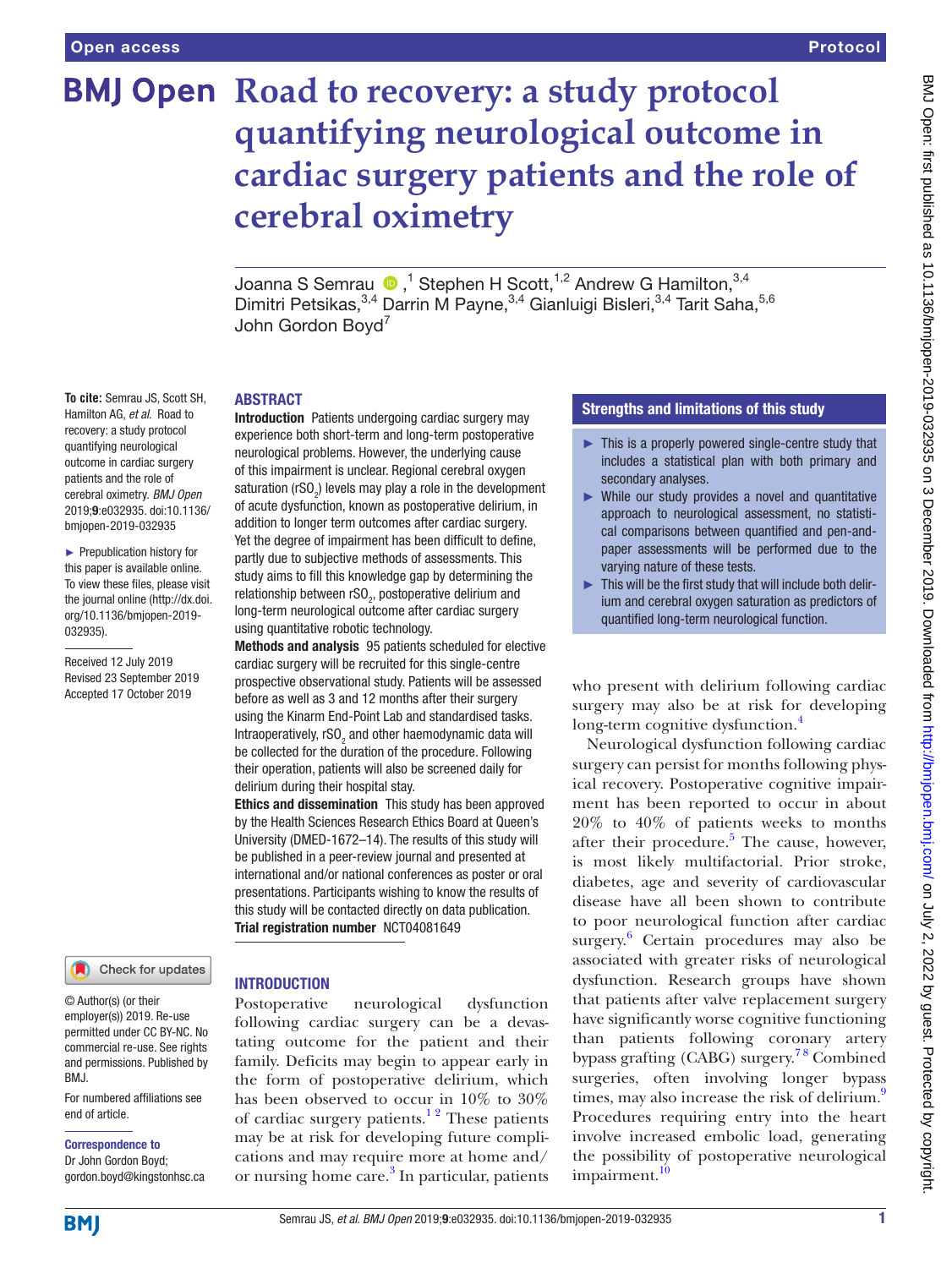# **BMJ Open Road to recovery: a study protocol quantifying neurological outcome in cardiac surgery patients and the role of cerebral oximetry**

JoannaS Semrau  $\bigcirc$  ,<sup>1</sup> Stephen H Scott,<sup>1,2</sup> Andrew G Hamilton,<sup>3,4</sup> Dimitri Petsikas, 3,4 Darrin M Payne, 3,4 Gianluigi Bisleri, 3,4 Tarit Saha, 5,6 John Gordon Boyd<sup>7</sup>

#### **To cite:** Semrau JS, Scott SH, Hamilton AG, *et al*. Road to recovery: a study protocol quantifying neurological outcome in cardiac surgery patients and the role of cerebral oximetry. *BMJ Open* 2019;9:e032935. doi:10.1136/ bmjopen-2019-032935

► Prepublication history for this paper is available online. To view these files, please visit the journal online (http://dx.doi. org/10.1136/bmjopen-2019- 032935).

Received 12 July 2019 Revised 23 September 2019 Accepted 17 October 2019

# Check for updates

© Author(s) (or their employer(s)) 2019. Re-use permitted under CC BY-NC. No commercial re-use. See rights and permissions. Published by BMJ.

For numbered affiliations see end of article.

# Correspondence to

Dr John Gordon Boyd; gordon.boyd@kingstonhsc.ca

#### **ARSTRACT**

Introduction Patients undergoing cardiac surgery may experience both short-term and long-term postoperative neurological problems. However, the underlying cause of this impairment is unclear. Regional cerebral oxygen saturation (rSO<sub>2</sub>) levels may play a role in the development of acute dysfunction, known as postoperative delirium, in addition to longer term outcomes after cardiac surgery. Yet the degree of impairment has been difficult to define, partly due to subjective methods of assessments. This study aims to fill this knowledge gap by determining the relationship between rSO<sub>2</sub>, postoperative delirium and long-term neurological outcome after cardiac surgery using quantitative robotic technology.

Methods and analysis 95 patients scheduled for elective cardiac surgery will be recruited for this single-centre prospective observational study. Patients will be assessed before as well as 3 and 12 months after their surgery using the Kinarm End-Point Lab and standardised tasks. Intraoperatively, rSO<sub>2</sub> and other haemodynamic data will be collected for the duration of the procedure. Following their operation, patients will also be screened daily for delirium during their hospital stay.

Ethics and dissemination This study has been approved by the Health Sciences Research Ethics Board at Queen's University (DMED-1672–14). The results of this study will be published in a peer-review journal and presented at international and/or national conferences as poster or oral presentations. Participants wishing to know the results of this study will be contacted directly on data publication. Trial registration number <NCT04081649>

# **INTRODUCTION**

Postoperative neurological dysfunction following cardiac surgery can be a devastating outcome for the patient and their family. Deficits may begin to appear early in the form of postoperative delirium, which has been observed to occur in 10% to 30% of cardiac surgery patients.<sup>12</sup> These patients may be at risk for developing future complications and may require more at home and/ or nursing home care.<sup>[3](#page-4-1)</sup> In particular, patients

# Strengths and limitations of this study

- ► This is a properly powered single-centre study that includes a statistical plan with both primary and secondary analyses.
- ► While our study provides a novel and quantitative approach to neurological assessment, no statistical comparisons between quantified and pen-andpaper assessments will be performed due to the varying nature of these tests.
- $\blacktriangleright$  This will be the first study that will include both delirium and cerebral oxygen saturation as predictors of quantified long-term neurological function.

who present with delirium following cardiac surgery may also be at risk for developing long-term cognitive dysfunction.<sup>4</sup>

Neurological dysfunction following cardiac surgery can persist for months following physical recovery. Postoperative cognitive impairment has been reported to occur in about 20% to 40% of patients weeks to months after their procedure.<sup>[5](#page-4-3)</sup> The cause, however, is most likely multifactorial. Prior stroke, diabetes, age and severity of cardiovascular disease have all been shown to contribute to poor neurological function after cardiac surgery. [6](#page-4-4) Certain procedures may also be associated with greater risks of neurological dysfunction. Research groups have shown that patients after valve replacement surgery have significantly worse cognitive functioning than patients following coronary artery bypass grafting (CABG) surgery.<sup>78</sup> Combined surgeries, often involving longer bypass times, may also increase the risk of delirium.<sup>9</sup> Procedures requiring entry into the heart involve increased embolic load, generating the possibility of postoperative neurological impairment.<sup>[10](#page-4-7)</sup>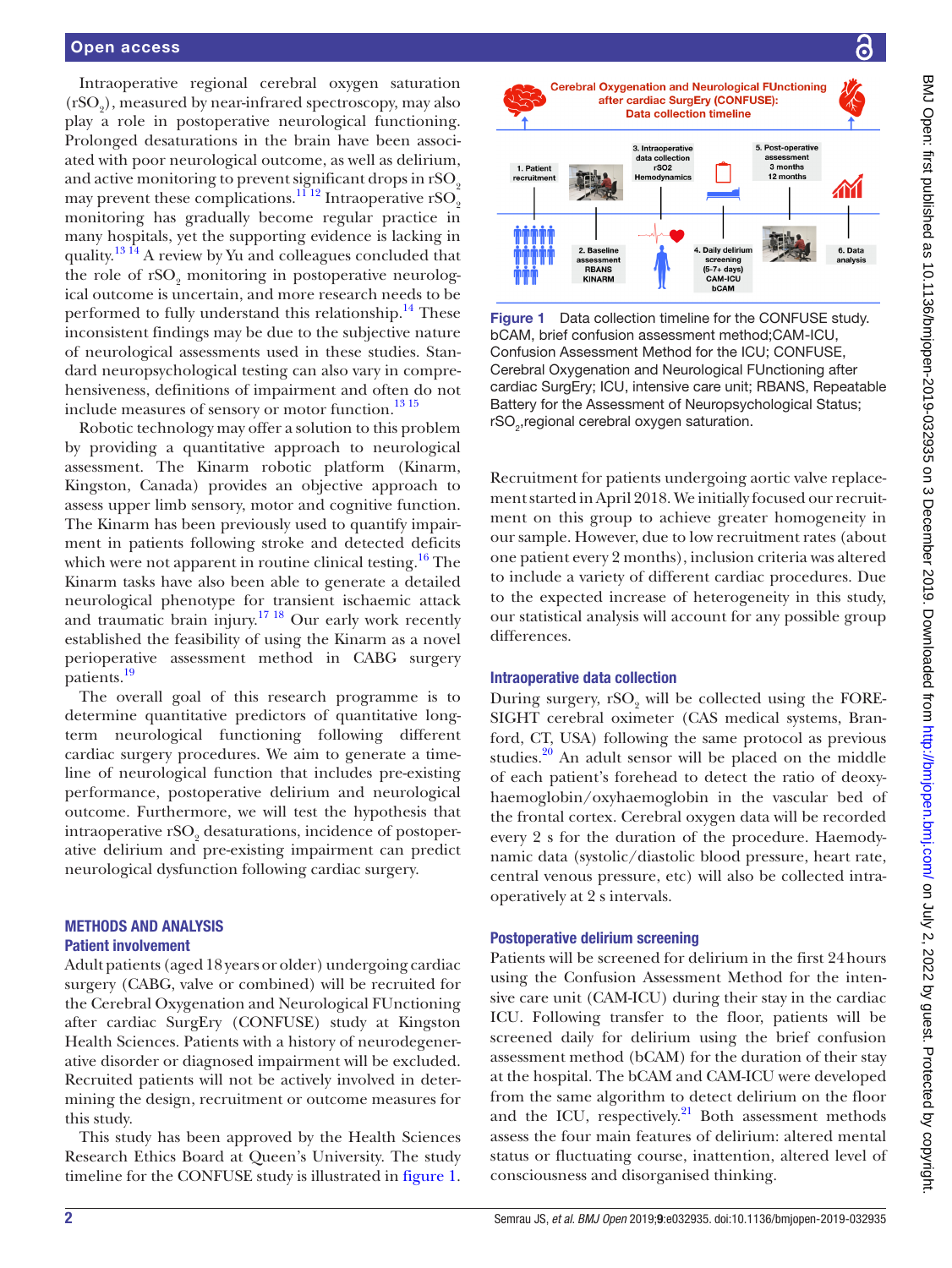Intraoperative regional cerebral oxygen saturation  $(r\mathrm{SO}_2)$ , measured by near-infrared spectroscopy, may also play a role in postoperative neurological functioning. Prolonged desaturations in the brain have been associated with poor neurological outcome, as well as delirium, and active monitoring to prevent significant drops in rSO<sub>2</sub> may prevent these complications.<sup>1112</sup> Intraoperative rSO<sub>2</sub> monitoring has gradually become regular practice in many hospitals, yet the supporting evidence is lacking in quality.<sup>[13 14](#page-4-9)</sup> A review by Yu and colleagues concluded that the role of  $rSO_2$  monitoring in postoperative neurological outcome is uncertain, and more research needs to be performed to fully understand this relationship.<sup>14</sup> These inconsistent findings may be due to the subjective nature of neurological assessments used in these studies. Standard neuropsychological testing can also vary in comprehensiveness, definitions of impairment and often do not include measures of sensory or motor function.<sup>[13 15](#page-4-9)</sup>

Robotic technology may offer a solution to this problem by providing a quantitative approach to neurological assessment. The Kinarm robotic platform (Kinarm, Kingston, Canada) provides an objective approach to assess upper limb sensory, motor and cognitive function. The Kinarm has been previously used to quantify impairment in patients following stroke and detected deficits which were not apparent in routine clinical testing.<sup>[16](#page-4-11)</sup> The Kinarm tasks have also been able to generate a detailed neurological phenotype for transient ischaemic attack and traumatic brain injury.<sup>17 18</sup> Our early work recently established the feasibility of using the Kinarm as a novel perioperative assessment method in CABG surgery patients.<sup>19</sup>

The overall goal of this research programme is to determine quantitative predictors of quantitative longterm neurological functioning following different cardiac surgery procedures. We aim to generate a timeline of neurological function that includes pre-existing performance, postoperative delirium and neurological outcome. Furthermore, we will test the hypothesis that intraoperative rSO<sub>2</sub> desaturations, incidence of postoperative delirium and pre-existing impairment can predict neurological dysfunction following cardiac surgery.

#### Methods and analysis Patient involvement

Adult patients (aged 18 years or older) undergoing cardiac surgery (CABG, valve or combined) will be recruited for the Cerebral Oxygenation and Neurological FUnctioning after cardiac SurgEry (CONFUSE) study at Kingston Health Sciences. Patients with a history of neurodegenerative disorder or diagnosed impairment will be excluded. Recruited patients will not be actively involved in determining the design, recruitment or outcome measures for this study.

This study has been approved by the Health Sciences Research Ethics Board at Queen's University. The study timeline for the CONFUSE study is illustrated in [figure](#page-1-0) 1.



<span id="page-1-0"></span>Figure 1 Data collection timeline for the CONFUSE study. bCAM, brief confusion assessment method;CAM-ICU, Confusion Assessment Method for the ICU; CONFUSE, Cerebral Oxygenation and Neurological FUnctioning after cardiac SurgEry; ICU, intensive care unit; RBANS, Repeatable Battery for the Assessment of Neuropsychological Status; rSO<sub>2</sub>, regional cerebral oxygen saturation.

Recruitment for patients undergoing aortic valve replacement started in April 2018. We initially focused our recruitment on this group to achieve greater homogeneity in our sample. However, due to low recruitment rates (about one patient every 2 months), inclusion criteria was altered to include a variety of different cardiac procedures. Due to the expected increase of heterogeneity in this study, our statistical analysis will account for any possible group differences.

#### Intraoperative data collection

During surgery,  $rSO_2$  will be collected using the FORE-SIGHT cerebral oximeter (CAS medical systems, Branford, CT, USA) following the same protocol as previous studies. $20$  An adult sensor will be placed on the middle of each patient's forehead to detect the ratio of deoxyhaemoglobin/oxyhaemoglobin in the vascular bed of the frontal cortex. Cerebral oxygen data will be recorded every 2 s for the duration of the procedure. Haemodynamic data (systolic/diastolic blood pressure, heart rate, central venous pressure, etc) will also be collected intraoperatively at 2 s intervals.

# Postoperative delirium screening

Patients will be screened for delirium in the first 24hours using the Confusion Assessment Method for the intensive care unit (CAM-ICU) during their stay in the cardiac ICU. Following transfer to the floor, patients will be screened daily for delirium using the brief confusion assessment method (bCAM) for the duration of their stay at the hospital. The bCAM and CAM-ICU were developed from the same algorithm to detect delirium on the floor and the ICU, respectively.<sup>[21](#page-5-0)</sup> Both assessment methods assess the four main features of delirium: altered mental status or fluctuating course, inattention, altered level of consciousness and disorganised thinking.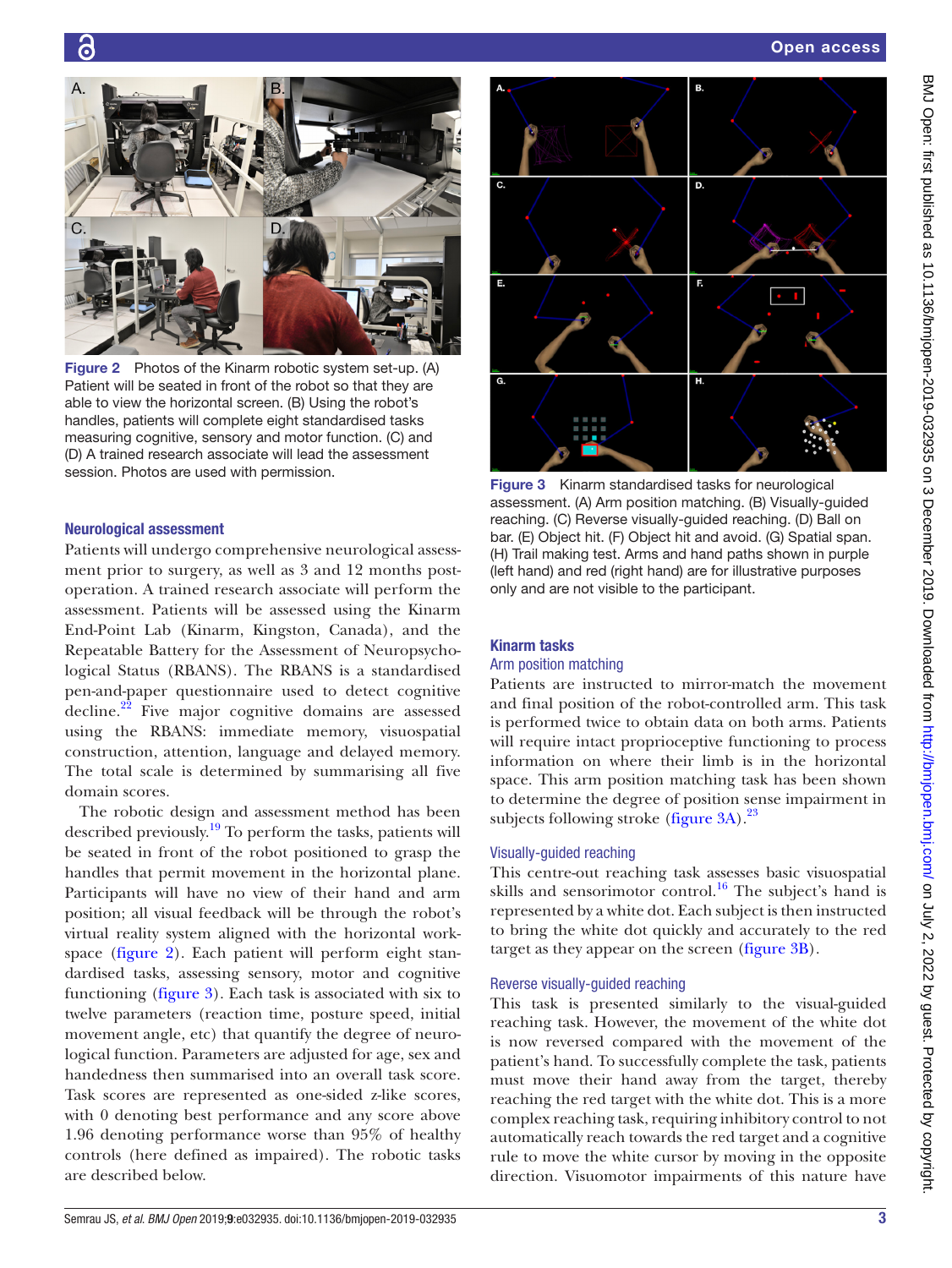

Figure 2 Photos of the Kinarm robotic system set-up. (A) Patient will be seated in front of the robot so that they are able to view the horizontal screen. (B) Using the robot's handles, patients will complete eight standardised tasks measuring cognitive, sensory and motor function. (C) and (D) A trained research associate will lead the assessment session. Photos are used with permission.<br>Figure 3 Kinarm standardised tasks for neurological

### <span id="page-2-0"></span>Neurological assessment

Patients will undergo comprehensive neurological assessment prior to surgery, as well as 3 and 12 months postoperation. A trained research associate will perform the assessment. Patients will be assessed using the Kinarm End-Point Lab (Kinarm, Kingston, Canada), and the Repeatable Battery for the Assessment of Neuropsychological Status (RBANS). The RBANS is a standardised pen-and-paper questionnaire used to detect cognitive decline.<sup>[22](#page-5-1)</sup> Five major cognitive domains are assessed using the RBANS: immediate memory, visuospatial construction, attention, language and delayed memory. The total scale is determined by summarising all five domain scores.

The robotic design and assessment method has been described previously.[19](#page-4-13) To perform the tasks, patients will be seated in front of the robot positioned to grasp the handles that permit movement in the horizontal plane. Participants will have no view of their hand and arm position; all visual feedback will be through the robot's virtual reality system aligned with the horizontal workspace [\(figure](#page-2-0) 2). Each patient will perform eight standardised tasks, assessing sensory, motor and cognitive functioning [\(figure](#page-2-1) 3). Each task is associated with six to twelve parameters (reaction time, posture speed, initial movement angle, etc) that quantify the degree of neurological function. Parameters are adjusted for age, sex and handedness then summarised into an overall task score. Task scores are represented as one-sided z-like scores, with 0 denoting best performance and any score above 1.96 denoting performance worse than 95% of healthy controls (here defined as impaired). The robotic tasks are described below.



<span id="page-2-1"></span>assessment. (A) Arm position matching. (B) Visually-guided reaching. (C) Reverse visually-guided reaching. (D) Ball on bar. (E) Object hit. (F) Object hit and avoid. (G) Spatial span. (H) Trail making test. Arms and hand paths shown in purple (left hand) and red (right hand) are for illustrative purposes only and are not visible to the participant.

#### Kinarm tasks

# Arm position matching

Patients are instructed to mirror-match the movement and final position of the robot-controlled arm. This task is performed twice to obtain data on both arms. Patients will require intact proprioceptive functioning to process information on where their limb is in the horizontal space. This arm position matching task has been shown to determine the degree of position sense impairment in subjects following stroke [\(figure](#page-2-1)  $3A$ ).<sup>23</sup>

#### Visually-guided reaching

This centre-out reaching task assesses basic visuospatial skills and sensorimotor control.<sup>16</sup> The subject's hand is represented by a white dot. Each subject is then instructed to bring the white dot quickly and accurately to the red target as they appear on the screen ([figure](#page-2-1) 3B).

#### Reverse visually-guided reaching

This task is presented similarly to the visual-guided reaching task. However, the movement of the white dot is now reversed compared with the movement of the patient's hand. To successfully complete the task, patients must move their hand away from the target, thereby reaching the red target with the white dot. This is a more complex reaching task, requiring inhibitory control to not automatically reach towards the red target and a cognitive rule to move the white cursor by moving in the opposite direction. Visuomotor impairments of this nature have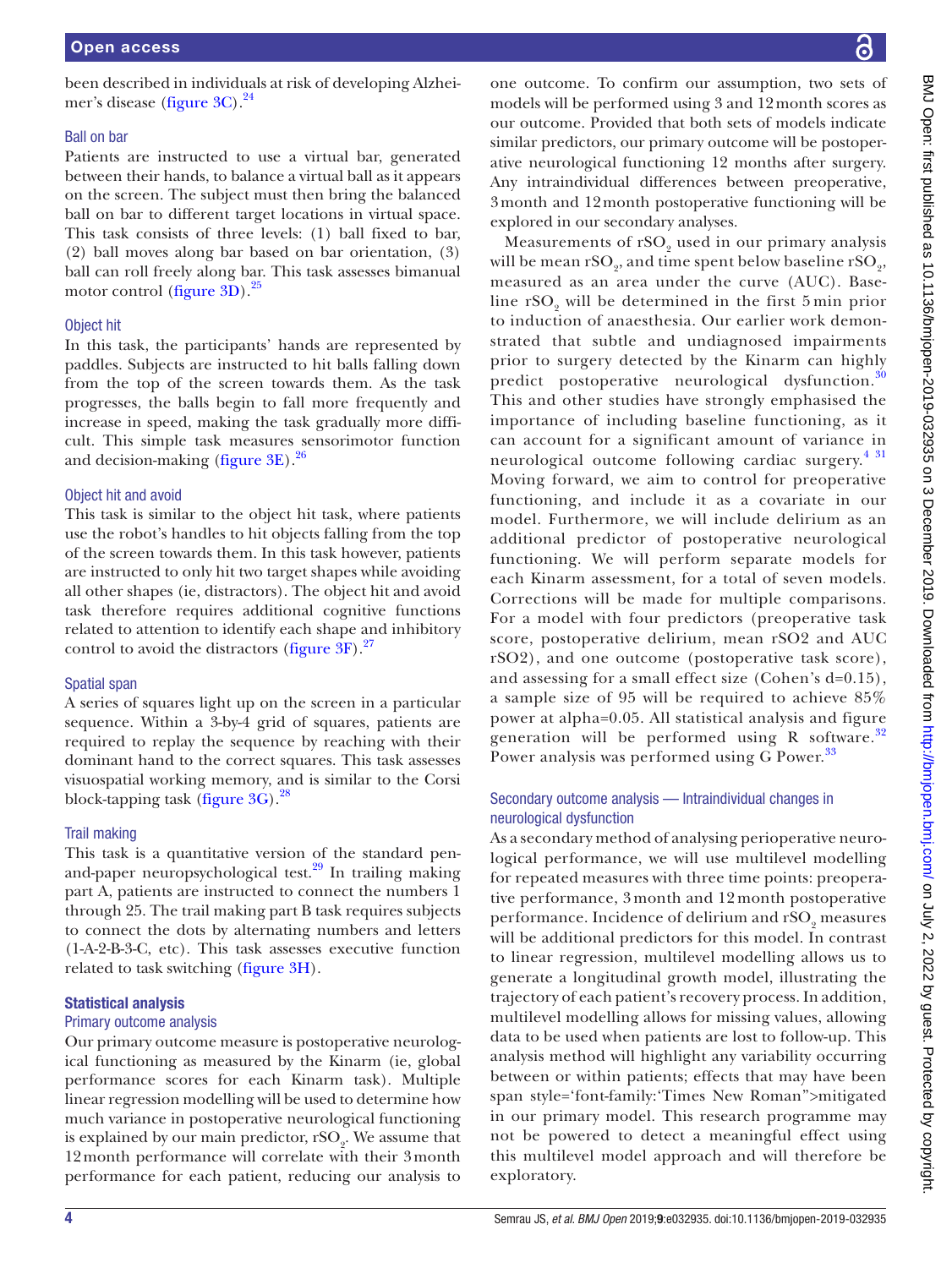# one outcome. To confirm our assumption, two sets of models will be performed using 3 and 12month scores as our outcome. Provided that both sets of models indicate similar predictors, our primary outcome will be postoperative neurological functioning 12 months after surgery. Any intraindividual differences between preoperative, explored in our secondary analyses.

3month and 12month postoperative functioning will be Measurements of  $\mathrm{rSO}_2$  used in our primary analysis will be mean  $\mathrm{rSO}_2$ , and time spent below baseline  $\mathrm{rSO}_2$ , measured as an area under the curve (AUC). Baseline  $rSO_2$  will be determined in the first 5 min prior to induction of anaesthesia. Our earlier work demon-

strated that subtle and undiagnosed impairments prior to surgery detected by the Kinarm can highly predict postoperative neurological dysfunction.<sup>[30](#page-5-9)</sup> This and other studies have strongly emphasised the importance of including baseline functioning, as it can account for a significant amount of variance in neurological outcome following cardiac surgery.<sup>[4 31](#page-4-2)</sup>

Moving forward, we aim to control for preoperative functioning, and include it as a covariate in our model. Furthermore, we will include delirium as an additional predictor of postoperative neurological functioning. We will perform separate models for each Kinarm assessment, for a total of seven models. Corrections will be made for multiple comparisons. For a model with four predictors (preoperative task score, postoperative delirium, mean rSO2 and AUC rSO2), and one outcome (postoperative task score), and assessing for a small effect size (Cohen's d=0.15), a sample size of 95 will be required to achieve 85% power at alpha=0.05. All statistical analysis and figure generation will be performed using R software.<sup>[32](#page-5-10)</sup> Power analysis was performed using G Power.<sup>[33](#page-5-11)</sup>

# Secondary outcome analysis — Intraindividual changes in neurological dysfunction

As a secondary method of analysing perioperative neurological performance, we will use multilevel modelling for repeated measures with three time points: preoperative performance, 3 month and 12 month postoperative performance. Incidence of delirium and  $\mathrm{rSO}_2$  measures will be additional predictors for this model. In contrast to linear regression, multilevel modelling allows us to generate a longitudinal growth model, illustrating the trajectory of each patient's recovery process. In addition, multilevel modelling allows for missing values, allowing data to be used when patients are lost to follow-up. This analysis method will highlight any variability occurring between or within patients; effects that may have been span style='font-family:'Times New Roman''>mitigated in our primary model. This research programme may not be powered to detect a meaningful effect using this multilevel model approach and will therefore be exploratory.

BMJ Open: first published as 10.1136/bmjopen-2019-032935 on 3 December 2019. Downloaded from http://bmjopen.bmj.com/ on July 2, 2022 by guest. Protected by copyright BMJ Open: first published as 10.1136/bmjopen-2019-03/935 on 3 December 2019. Downloaded from <http://bmjopen.bmj.com/> on July 2, 2022 by guest. Protected by copyright.

#### been described in individuals at risk of developing Alzhei-mer's disease [\(figure](#page-2-1)  $3C$ ).<sup>24</sup>

#### Ball on bar

Patients are instructed to use a virtual bar, generated between their hands, to balance a virtual ball as it appears on the screen. The subject must then bring the balanced ball on bar to different target locations in virtual space. This task consists of three levels: (1) ball fixed to bar, (2) ball moves along bar based on bar orientation, (3) ball can roll freely along bar. This task assesses bimanual motor control ([figure](#page-2-1)  $3D$ ).<sup>25</sup>

# Object hit

In this task, the participants' hands are represented by paddles. Subjects are instructed to hit balls falling down from the top of the screen towards them. As the task progresses, the balls begin to fall more frequently and increase in speed, making the task gradually more difficult. This simple task measures sensorimotor function and decision-making ([figure](#page-2-1)  $3E$ ).<sup>[26](#page-5-5)</sup>

# Object hit and avoid

This task is similar to the object hit task, where patients use the robot's handles to hit objects falling from the top of the screen towards them. In this task however, patients are instructed to only hit two target shapes while avoiding all other shapes (ie, distractors). The object hit and avoid task therefore requires additional cognitive functions related to attention to identify each shape and inhibitory control to avoid the distractors [\(figure](#page-2-1)  $3F$ ).<sup>27</sup>

# Spatial span

A series of squares light up on the screen in a particular sequence. Within a 3-by-4 grid of squares, patients are required to replay the sequence by reaching with their dominant hand to the correct squares. This task assesses visuospatial working memory, and is similar to the Corsi block-tapping task ([figure](#page-2-1) 3G).<sup>[28](#page-5-7)</sup>

# Trail making

This task is a quantitative version of the standard penand-paper neuropsychological test.<sup>29</sup> In trailing making part A, patients are instructed to connect the numbers 1 through 25. The trail making part B task requires subjects to connect the dots by alternating numbers and letters (1-A-2-B-3-C, etc). This task assesses executive function related to task switching [\(figure](#page-2-1) 3H).

# Statistical analysis

# Primary outcome analysis

Our primary outcome measure is postoperative neurological functioning as measured by the Kinarm (ie, global performance scores for each Kinarm task). Multiple linear regression modelling will be used to determine how much variance in postoperative neurological functioning is explained by our main predictor,  $\mathrm{rSO}_2$ . We assume that 12month performance will correlate with their 3month performance for each patient, reducing our analysis to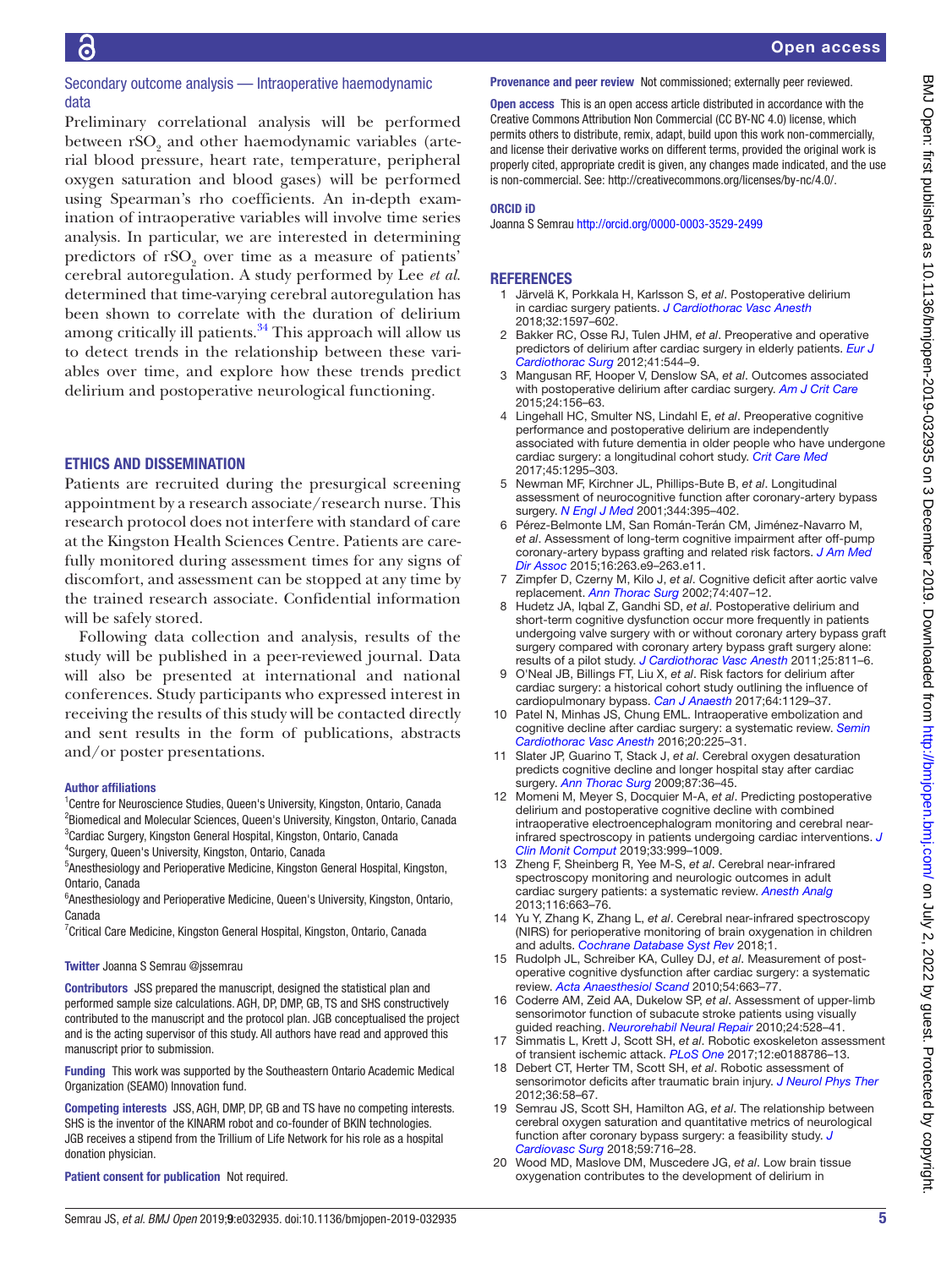### Secondary outcome analysis — Intraoperative haemodynamic data

Preliminary correlational analysis will be performed between  $\mathrm{rSO}_2$  and other haemodynamic variables (arterial blood pressure, heart rate, temperature, peripheral oxygen saturation and blood gases) will be performed using Spearman's rho coefficients. An in-depth examination of intraoperative variables will involve time series analysis. In particular, we are interested in determining predictors of  $rSO_2$  over time as a measure of patients' cerebral autoregulation. A study performed by Lee *et al.* determined that time-varying cerebral autoregulation has been shown to correlate with the duration of delirium among critically ill patients. $34$  This approach will allow us to detect trends in the relationship between these variables over time, and explore how these trends predict delirium and postoperative neurological functioning.

#### Ethics and dissemination

Patients are recruited during the presurgical screening appointment by a research associate/research nurse. This research protocol does not interfere with standard of care at the Kingston Health Sciences Centre. Patients are carefully monitored during assessment times for any signs of discomfort, and assessment can be stopped at any time by the trained research associate. Confidential information will be safely stored.

Following data collection and analysis, results of the study will be published in a peer-reviewed journal. Data will also be presented at international and national conferences. Study participants who expressed interest in receiving the results of this study will be contacted directly and sent results in the form of publications, abstracts and/or poster presentations.

#### Author affiliations

<sup>1</sup> Centre for Neuroscience Studies, Queen's University, Kingston, Ontario, Canada <sup>2</sup>Biomedical and Molecular Sciences, Queen's University, Kingston, Ontario, Canada 3 Cardiac Surgery, Kingston General Hospital, Kingston, Ontario, Canada

4 Surgery, Queen's University, Kingston, Ontario, Canada

<sup>5</sup> Anesthesiology and Perioperative Medicine, Kingston General Hospital, Kingston, Ontario, Canada

<sup>6</sup> Anesthesiology and Perioperative Medicine, Queen's University, Kingston, Ontario, Canada

<sup>7</sup> Critical Care Medicine, Kingston General Hospital, Kingston, Ontario, Canada

#### Twitter Joanna S Semrau [@jssemrau](https://twitter.com/jssemrau)

Contributors JSS prepared the manuscript, designed the statistical plan and performed sample size calculations. AGH, DP, DMP, GB, TS and SHS constructively contributed to the manuscript and the protocol plan. JGB conceptualised the project and is the acting supervisor of this study. All authors have read and approved this manuscript prior to submission.

Funding This work was supported by the Southeastern Ontario Academic Medical Organization (SEAMO) Innovation fund.

Competing interests JSS, AGH, DMP, DP, GB and TS have no competing interests. SHS is the inventor of the KINARM robot and co-founder of BKIN technologies. JGB receives a stipend from the Trillium of Life Network for his role as a hospital donation physician.

Patient consent for publication Not required.

#### Provenance and peer review Not commissioned; externally peer reviewed.

Open access This is an open access article distributed in accordance with the Creative Commons Attribution Non Commercial (CC BY-NC 4.0) license, which permits others to distribute, remix, adapt, build upon this work non-commercially, and license their derivative works on different terms, provided the original work is properly cited, appropriate credit is given, any changes made indicated, and the use is non-commercial. See: [http://creativecommons.org/licenses/by-nc/4.0/.](http://creativecommons.org/licenses/by-nc/4.0/)

#### ORCID iD

Joanna S Semrau<http://orcid.org/0000-0003-3529-2499>

#### **REFERENCES**

- <span id="page-4-0"></span>1 Järvelä K, Porkkala H, Karlsson S, *et al*. Postoperative delirium in cardiac surgery patients. *[J Cardiothorac Vasc Anesth](http://dx.doi.org/10.1053/j.jvca.2017.12.030)* 2018;32:1597–602.
- 2 Bakker RC, Osse RJ, Tulen JHM, *et al*. Preoperative and operative predictors of delirium after cardiac surgery in elderly patients. *[Eur J](http://dx.doi.org/10.1093/ejcts/ezr031)  [Cardiothorac Surg](http://dx.doi.org/10.1093/ejcts/ezr031)* 2012;41:544–9.
- <span id="page-4-1"></span>3 Mangusan RF, Hooper V, Denslow SA, *et al*. Outcomes associated with postoperative delirium after cardiac surgery. *[Am J Crit Care](http://dx.doi.org/10.4037/ajcc2015137)* 2015;24:156–63.
- <span id="page-4-2"></span>4 Lingehall HC, Smulter NS, Lindahl E, *et al*. Preoperative cognitive performance and postoperative delirium are independently associated with future dementia in older people who have undergone cardiac surgery: a longitudinal cohort study. *[Crit Care Med](http://dx.doi.org/10.1097/CCM.0000000000002483)* 2017;45:1295–303.
- <span id="page-4-3"></span>5 Newman MF, Kirchner JL, Phillips-Bute B, *et al*. Longitudinal assessment of neurocognitive function after coronary-artery bypass surgery. *[N Engl J Med](http://dx.doi.org/10.1056/NEJM200102083440601)* 2001;344:395–402.
- <span id="page-4-4"></span>6 Pérez-Belmonte LM, San Román-Terán CM, Jiménez-Navarro M, *et al*. Assessment of long-term cognitive impairment after off-pump coronary-artery bypass grafting and related risk factors. *[J Am Med](http://dx.doi.org/10.1016/j.jamda.2014.12.001)  [Dir Assoc](http://dx.doi.org/10.1016/j.jamda.2014.12.001)* 2015;16:263.e9–263.e11.
- <span id="page-4-5"></span>7 Zimpfer D, Czerny M, Kilo J, *et al*. Cognitive deficit after aortic valve replacement. *[Ann Thorac Surg](http://dx.doi.org/10.1016/S0003-4975(02)03651-2)* 2002;74:407–12.
- 8 Hudetz JA, Iqbal Z, Gandhi SD, *et al*. Postoperative delirium and short-term cognitive dysfunction occur more frequently in patients undergoing valve surgery with or without coronary artery bypass graft surgery compared with coronary artery bypass graft surgery alone: results of a pilot study. *[J Cardiothorac Vasc Anesth](http://dx.doi.org/10.1053/j.jvca.2010.05.003)* 2011;25:811–6.
- <span id="page-4-6"></span>9 O'Neal JB, Billings FT, Liu X, *et al*. Risk factors for delirium after cardiac surgery: a historical cohort study outlining the influence of cardiopulmonary bypass. *[Can J Anaesth](http://dx.doi.org/10.1007/s12630-017-0938-5)* 2017;64:1129–37.
- <span id="page-4-7"></span>10 Patel N, Minhas JS, Chung EML. Intraoperative embolization and cognitive decline after cardiac surgery: a systematic review. *[Semin](http://dx.doi.org/10.1177/1089253215626728)  [Cardiothorac Vasc Anesth](http://dx.doi.org/10.1177/1089253215626728)* 2016;20:225–31.
- <span id="page-4-8"></span>11 Slater JP, Guarino T, Stack J, *et al*. Cerebral oxygen desaturation predicts cognitive decline and longer hospital stay after cardiac surgery. *[Ann Thorac Surg](http://dx.doi.org/10.1016/j.athoracsur.2008.08.070)* 2009;87:36–45.
- 12 Momeni M, Meyer S, Docquier M-A, *et al*. Predicting postoperative delirium and postoperative cognitive decline with combined intraoperative electroencephalogram monitoring and cerebral nearinfrared spectroscopy in patients undergoing cardiac interventions. *[J](http://dx.doi.org/10.1007/s10877-019-00253-8)  [Clin Monit Comput](http://dx.doi.org/10.1007/s10877-019-00253-8)* 2019;33:999–1009.
- <span id="page-4-9"></span>13 Zheng F, Sheinberg R, Yee M-S, *et al*. Cerebral near-infrared spectroscopy monitoring and neurologic outcomes in adult cardiac surgery patients: a systematic review. *[Anesth Analg](http://dx.doi.org/10.1213/ANE.0b013e318277a255)* 2013;116:663–76.
- <span id="page-4-10"></span>14 Yu Y, Zhang K, Zhang L, *et al*. Cerebral near-infrared spectroscopy (NIRS) for perioperative monitoring of brain oxygenation in children and adults. *[Cochrane Database Syst Rev](http://dx.doi.org/10.1002/14651858.CD010947.pub2)* 2018;1.
- 15 Rudolph JL, Schreiber KA, Culley DJ, *et al*. Measurement of postoperative cognitive dysfunction after cardiac surgery: a systematic review. *[Acta Anaesthesiol Scand](http://dx.doi.org/10.1111/j.1399-6576.2010.02236.x)* 2010;54:663–77.
- <span id="page-4-11"></span>16 Coderre AM, Zeid AA, Dukelow SP, *et al*. Assessment of upper-limb sensorimotor function of subacute stroke patients using visually guided reaching. *[Neurorehabil Neural Repair](http://dx.doi.org/10.1177/1545968309356091)* 2010;24:528–41.
- <span id="page-4-12"></span>17 Simmatis L, Krett J, Scott SH, *et al*. Robotic exoskeleton assessment of transient ischemic attack. *[PLoS One](http://dx.doi.org/10.1371/journal.pone.0188786)* 2017;12:e0188786–13.
- 18 Debert CT, Herter TM, Scott SH, *et al*. Robotic assessment of sensorimotor deficits after traumatic brain injury. *[J Neurol Phys Ther](http://dx.doi.org/10.1097/NPT.0b013e318254bd4f)* 2012;36:58–67.
- <span id="page-4-13"></span>19 Semrau JS, Scott SH, Hamilton AG, *et al*. The relationship between cerebral oxygen saturation and quantitative metrics of neurological function after coronary bypass surgery: a feasibility study. *[J](http://dx.doi.org/10.23736/S0021-9509.18.10280-1)  [Cardiovasc Surg](http://dx.doi.org/10.23736/S0021-9509.18.10280-1)* 2018;59:716–28.
- <span id="page-4-14"></span>20 Wood MD, Maslove DM, Muscedere JG, *et al*. Low brain tissue oxygenation contributes to the development of delirium in